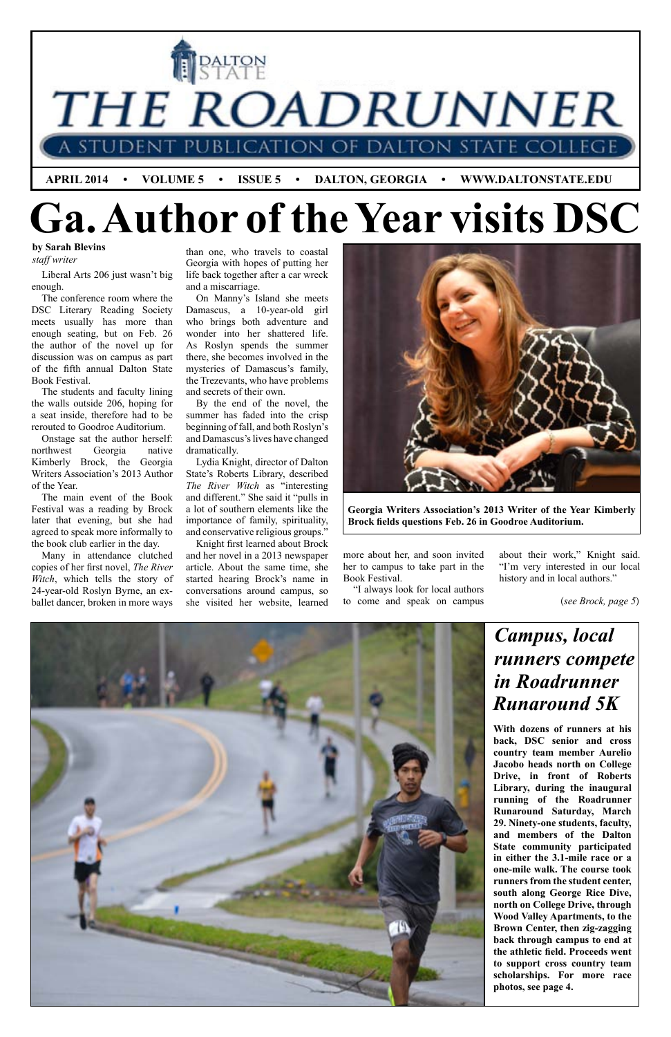

#### **by Sarah Blevins**

*staff writer*

(*see Brock, page 5*)



Liberal Arts 206 just wasn't big enough.

The conference room where the DSC Literary Reading Society meets usually has more than enough seating, but on Feb. 26 the author of the novel up for discussion was on campus as part of the fifth annual Dalton State Book Festival.

The students and faculty lining the walls outside 206, hoping for a seat inside, therefore had to be rerouted to Goodroe Auditorium.

Onstage sat the author herself: northwest Georgia native Kimberly Brock, the Georgia Writers Association's 2013 Author of the Year.

The main event of the Book Festival was a reading by Brock later that evening, but she had agreed to speak more informally to the book club earlier in the day.

Many in attendance clutched copies of her first novel, *The River Witch*, which tells the story of 24-year-old Roslyn Byrne, an exballet dancer, broken in more ways

than one, who travels to coastal Georgia with hopes of putting her life back together after a car wreck and a miscarriage.

On Manny's Island she meets Damascus, a 10-year-old girl who brings both adventure and wonder into her shattered life. As Roslyn spends the summer there, she becomes involved in the mysteries of Damascus's family, the Trezevants, who have problems and secrets of their own.

By the end of the novel, the summer has faded into the crisp beginning of fall, and both Roslyn's and Damascus's lives have changed dramatically.

Lydia Knight, director of Dalton State's Roberts Library, described *The River Witch* as "interesting and different." She said it "pulls in a lot of southern elements like the importance of family, spirituality, and conservative religious groups."

Knight first learned about Brock and her novel in a 2013 newspaper article. About the same time, she started hearing Brock's name in conversations around campus, so she visited her website, learned

### *Campus, local runners compete in Roadrunner Runaround 5K*



**Georgia Writers Association's 2013 Writer of the Year Kimberly Brock fields questions Feb. 26 in Goodroe Auditorium.**

more about her, and soon invited her to campus to take part in the Book Festival.

"I always look for local authors to come and speak on campus about their work," Knight said. "I'm very interested in our local history and in local authors."

**With dozens of runners at his back, DSC senior and cross country team member Aurelio** 

**Jacobo heads north on College Drive, in front of Roberts Library, during the inaugural running of the Roadrunner Runaround Saturday, March 29. Ninety-one students, faculty, and members of the Dalton State community participated in either the 3.1-mile race or a one-mile walk. The course took runners from the student center, south along George Rice Dive, north on College Drive, through Wood Valley Apartments, to the Brown Center, then zig-zagging back through campus to end at the athletic field. Proceeds went to support cross country team scholarships. For more race photos, see page 4.**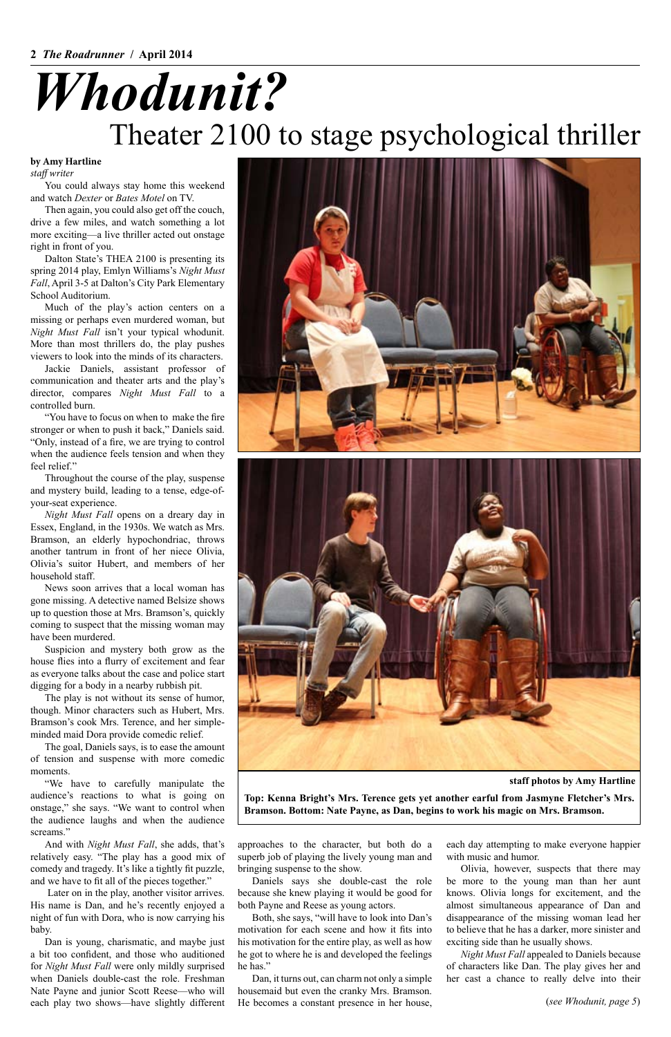**by Amy Hartline**

*staff writer*

## Theater 2100 to stage psychological thriller *Whodunit?*

**Top: Kenna Bright's Mrs. Terence gets yet another earful from Jasmyne Fletcher's Mrs. Bramson. Bottom: Nate Payne, as Dan, begins to work his magic on Mrs. Bramson.**

You could always stay home this weekend and watch *Dexter* or *Bates Motel* on TV.

Then again, you could also get off the couch, drive a few miles, and watch something a lot more exciting—a live thriller acted out onstage right in front of you.

Dalton State's THEA 2100 is presenting its spring 2014 play, Emlyn Williams's *Night Must Fall*, April 3-5 at Dalton's City Park Elementary School Auditorium.

Much of the play's action centers on a missing or perhaps even murdered woman, but *Night Must Fall* isn't your typical whodunit. More than most thrillers do, the play pushes viewers to look into the minds of its characters.

Jackie Daniels, assistant professor of communication and theater arts and the play's director, compares *Night Must Fall* to a controlled burn.

"You have to focus on when to make the fire stronger or when to push it back," Daniels said. "Only, instead of a fire, we are trying to control when the audience feels tension and when they feel relief."

Throughout the course of the play, suspense and mystery build, leading to a tense, edge-ofyour-seat experience.

*Night Must Fall* opens on a dreary day in Essex, England, in the 1930s. We watch as Mrs. Bramson, an elderly hypochondriac, throws another tantrum in front of her niece Olivia, Olivia's suitor Hubert, and members of her household staff.

News soon arrives that a local woman has gone missing. A detective named Belsize shows up to question those at Mrs. Bramson's, quickly coming to suspect that the missing woman may have been murdered.

each play two shows—have slightly different He becomes a constant presence in her house, (see Whodunit, page 5) Dan, it turns out, can charm not only a simple housemaid but even the cranky Mrs. Bramson.

Suspicion and mystery both grow as the house flies into a flurry of excitement and fear as everyone talks about the case and police start digging for a body in a nearby rubbish pit.

The play is not without its sense of humor, though. Minor characters such as Hubert, Mrs. Bramson's cook Mrs. Terence, and her simpleminded maid Dora provide comedic relief.

The goal, Daniels says, is to ease the amount of tension and suspense with more comedic moments.





"We have to carefully manipulate the audience's reactions to what is going on onstage," she says. "We want to control when the audience laughs and when the audience screams."

And with *Night Must Fall*, she adds, that's relatively easy. "The play has a good mix of comedy and tragedy. It's like a tightly fit puzzle, and we have to fit all of the pieces together."

 Later on in the play, another visitor arrives. His name is Dan, and he's recently enjoyed a night of fun with Dora, who is now carrying his baby.

Dan is young, charismatic, and maybe just a bit too confident, and those who auditioned for *Night Must Fall* were only mildly surprised when Daniels double-cast the role. Freshman Nate Payne and junior Scott Reese—who will approaches to the character, but both do a superb job of playing the lively young man and bringing suspense to the show.

Daniels says she double-cast the role because she knew playing it would be good for both Payne and Reese as young actors.

Both, she says, "will have to look into Dan's motivation for each scene and how it fits into his motivation for the entire play, as well as how he got to where he is and developed the feelings he has."

each day attempting to make everyone happier with music and humor.

Olivia, however, suspects that there may be more to the young man than her aunt knows. Olivia longs for excitement, and the almost simultaneous appearance of Dan and disappearance of the missing woman lead her to believe that he has a darker, more sinister and exciting side than he usually shows.

*Night Must Fall* appealed to Daniels because of characters like Dan. The play gives her and her cast a chance to really delve into their

#### **staff photos by Amy Hartline**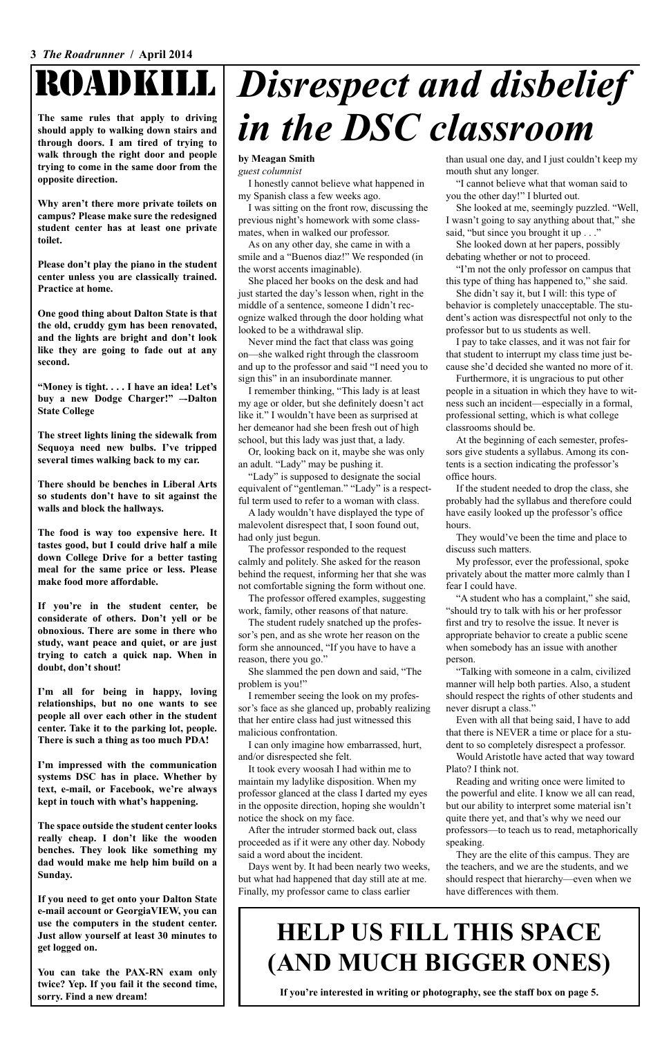## ROADKILL

**The same rules that apply to driving should apply to walking down stairs and through doors. I am tired of trying to walk through the right door and people trying to come in the same door from the opposite direction.**

**Why aren't there more private toilets on campus? Please make sure the redesigned student center has at least one private toilet.**

**Please don't play the piano in the student center unless you are classically trained. Practice at home.**

**One good thing about Dalton State is that the old, cruddy gym has been renovated, and the lights are bright and don't look like they are going to fade out at any second.**

**"Money is tight. . . . I have an idea! Let's buy a new Dodge Charger!" –-Dalton State College**

**The street lights lining the sidewalk from Sequoya need new bulbs. I've tripped several times walking back to my car.**

**There should be benches in Liberal Arts so students don't have to sit against the walls and block the hallways.**

**The food is way too expensive here. It tastes good, but I could drive half a mile down College Drive for a better tasting meal for the same price or less. Please make food more affordable.**

**If you're in the student center, be considerate of others. Don't yell or be obnoxious. There are some in there who study, want peace and quiet, or are just trying to catch a quick nap. When in doubt, don't shout!**

**I'm all for being in happy, loving relationships, but no one wants to see people all over each other in the student center. Take it to the parking lot, people. There is such a thing as too much PDA!**

**I'm impressed with the communication systems DSC has in place. Whether by text, e-mail, or Facebook, we're always kept in touch with what's happening.**

**The space outside the student center looks really cheap. I don't like the wooden benches. They look like something my dad would make me help him build on a Sunday.**

She slammed the pen down and said, "The problem is you!"

**If you need to get onto your Dalton State e-mail account or GeorgiaVIEW, you can use the computers in the student center. Just allow yourself at least 30 minutes to get logged on.**

**You can take the PAX-RN exam only twice? Yep. If you fail it the second time, sorry. Find a new dream!**

#### **by Meagan Smith**

*guest columnist*

I honestly cannot believe what happened in my Spanish class a few weeks ago.

I was sitting on the front row, discussing the previous night's homework with some classmates, when in walked our professor.

She looked at me, seemingly puzzled. "Well, I wasn't going to say anything about that," she said, "but since you brought it up . . ."

As on any other day, she came in with a smile and a "Buenos diaz!" We responded (in the worst accents imaginable).

She placed her books on the desk and had just started the day's lesson when, right in the middle of a sentence, someone I didn't recognize walked through the door holding what looked to be a withdrawal slip.

Never mind the fact that class was going on—she walked right through the classroom and up to the professor and said "I need you to sign this" in an insubordinate manner.

I remember thinking, "This lady is at least my age or older, but she definitely doesn't act like it." I wouldn't have been as surprised at her demeanor had she been fresh out of high school, but this lady was just that, a lady.

Or, looking back on it, maybe she was only an adult. "Lady" may be pushing it.

"Lady" is supposed to designate the social equivalent of "gentleman." "Lady" is a respectful term used to refer to a woman with class.

A lady wouldn't have displayed the type of malevolent disrespect that, I soon found out, had only just begun.

The professor responded to the request calmly and politely. She asked for the reason behind the request, informing her that she was not comfortable signing the form without one.

The professor offered examples, suggesting work, family, other reasons of that nature.

The student rudely snatched up the professor's pen, and as she wrote her reason on the form she announced, "If you have to have a reason, there you go."

I remember seeing the look on my professor's face as she glanced up, probably realizing that her entire class had just witnessed this malicious confrontation.

I can only imagine how embarrassed, hurt, and/or disrespected she felt.

It took every woosah I had within me to maintain my ladylike disposition. When my professor glanced at the class I darted my eyes in the opposite direction, hoping she wouldn't notice the shock on my face.

After the intruder stormed back out, class proceeded as if it were any other day. Nobody said a word about the incident.

Days went by. It had been nearly two weeks, but what had happened that day still ate at me. Finally, my professor came to class earlier

than usual one day, and I just couldn't keep my mouth shut any longer.

# *Disrespect and disbelief in the DSC classroom*

"I cannot believe what that woman said to you the other day!" I blurted out.

She looked down at her papers, possibly debating whether or not to proceed.

"I'm not the only professor on campus that this type of thing has happened to," she said.

She didn't say it, but I will: this type of behavior is completely unacceptable. The student's action was disrespectful not only to the professor but to us students as well.

I pay to take classes, and it was not fair for that student to interrupt my class time just because she'd decided she wanted no more of it.

Furthermore, it is ungracious to put other people in a situation in which they have to witness such an incident—especially in a formal, professional setting, which is what college classrooms should be.

At the beginning of each semester, professors give students a syllabus. Among its contents is a section indicating the professor's office hours.

If the student needed to drop the class, she probably had the syllabus and therefore could have easily looked up the professor's office hours.

They would've been the time and place to discuss such matters.

My professor, ever the professional, spoke privately about the matter more calmly than I fear I could have.

"A student who has a complaint," she said, "should try to talk with his or her professor first and try to resolve the issue. It never is appropriate behavior to create a public scene when somebody has an issue with another person.

"Talking with someone in a calm, civilized manner will help both parties. Also, a student should respect the rights of other students and never disrupt a class."

Even with all that being said, I have to add that there is NEVER a time or place for a student to so completely disrespect a professor.

Would Aristotle have acted that way toward

Plato? I think not.

Reading and writing once were limited to the powerful and elite. I know we all can read, but our ability to interpret some material isn't quite there yet, and that's why we need our professors—to teach us to read, metaphorically speaking.

They are the elite of this campus. They are the teachers, and we are the students, and we should respect that hierarchy—even when we have differences with them.

### **HELP US FILL THIS SPACE (AND MUCH BIGGER ONES)**

**If you're interested in writing or photography, see the staff box on page 5.**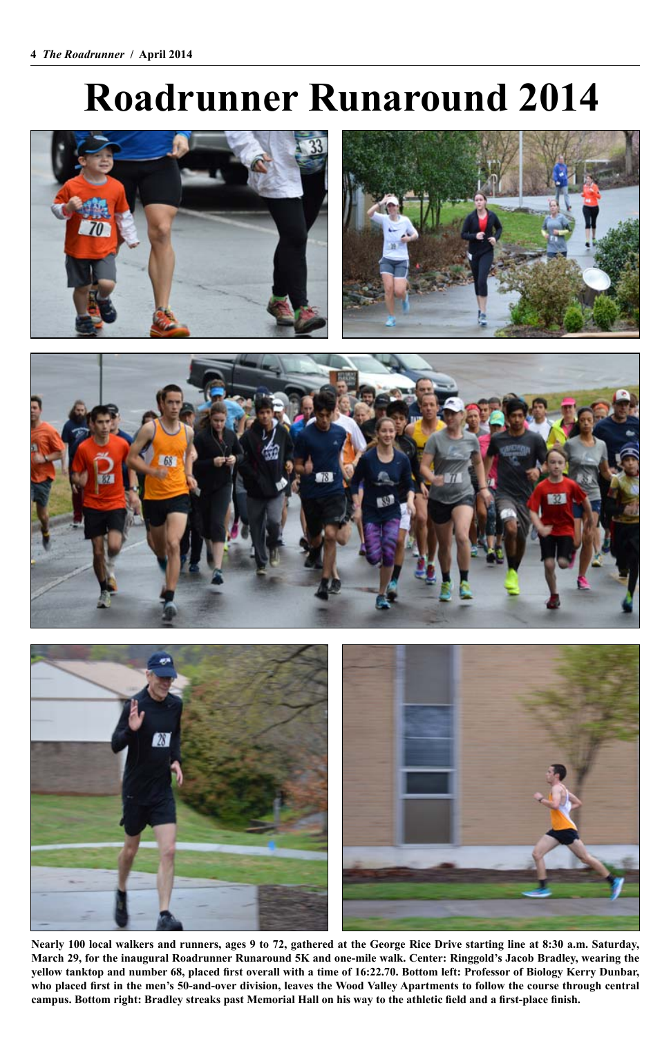# **Roadrunner Runaround 2014**







**Nearly 100 local walkers and runners, ages 9 to 72, gathered at the George Rice Drive starting line at 8:30 a.m. Saturday, March 29, for the inaugural Roadrunner Runaround 5K and one-mile walk. Center: Ringgold's Jacob Bradley, wearing the yellow tanktop and number 68, placed first overall with a time of 16:22.70. Bottom left: Professor of Biology Kerry Dunbar, who placed first in the men's 50-and-over division, leaves the Wood Valley Apartments to follow the course through central campus. Bottom right: Bradley streaks past Memorial Hall on his way to the athletic field and a first-place finish.**